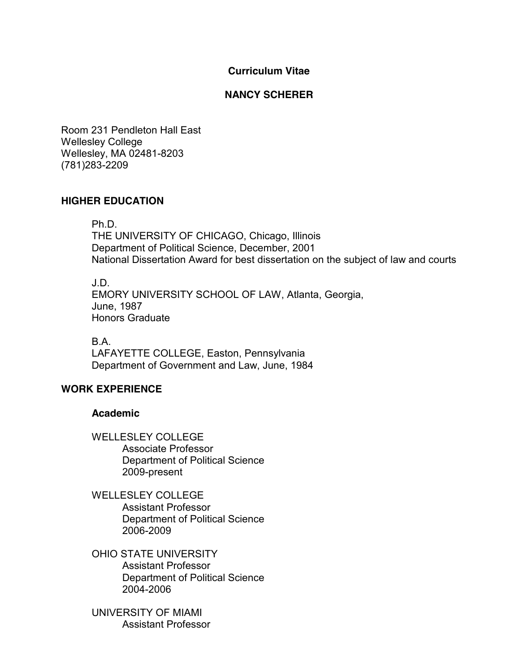#### **Curriculum Vitae**

#### **NANCY SCHERER**

Room 231 Pendleton Hall East Wellesley College Wellesley, MA 02481-8203 (781)283-2209

#### **HIGHER EDUCATION**

Ph.D.

THE UNIVERSITY OF CHICAGO, Chicago, Illinois Department of Political Science, December, 2001 National Dissertation Award for best dissertation on the subject of law and courts

J.D. EMORY UNIVERSITY SCHOOL OF LAW, Atlanta, Georgia, June, 1987 Honors Graduate

B.A. LAFAYETTE COLLEGE, Easton, Pennsylvania Department of Government and Law, June, 1984

### **WORK EXPERIENCE**

#### **Academic**

WELLESLEY COLLEGE Associate Professor Department of Political Science 2009-present

WELLESLEY COLLEGE Assistant Professor Department of Political Science 2006-2009

OHIO STATE UNIVERSITY Assistant Professor Department of Political Science 2004-2006

UNIVERSITY OF MIAMI Assistant Professor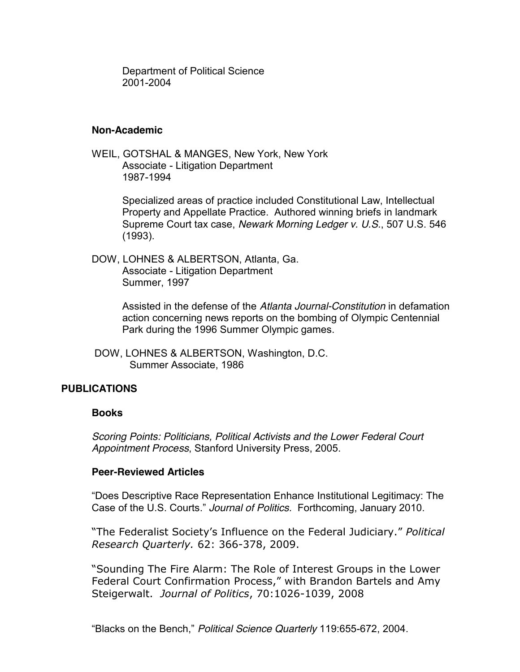Department of Political Science 2001-2004

#### **Non-Academic**

WEIL, GOTSHAL & MANGES, New York, New York Associate - Litigation Department 1987-1994

> Specialized areas of practice included Constitutional Law, Intellectual Property and Appellate Practice. Authored winning briefs in landmark Supreme Court tax case, *Newark Morning Ledger v. U.S.*, 507 U.S. 546 (1993).

DOW, LOHNES & ALBERTSON, Atlanta, Ga. Associate - Litigation Department Summer, 1997

> Assisted in the defense of the *Atlanta Journal-Constitution* in defamation action concerning news reports on the bombing of Olympic Centennial Park during the 1996 Summer Olympic games.

DOW, LOHNES & ALBERTSON, Washington, D.C. Summer Associate, 1986

### **PUBLICATIONS**

#### **Books**

*Scoring Points: Politicians, Political Activists and the Lower Federal Court Appointment Process*, Stanford University Press, 2005.

#### **Peer-Reviewed Articles**

"Does Descriptive Race Representation Enhance Institutional Legitimacy: The Case of the U.S. Courts.´ *Journal of Politics.* Forthcoming, January 2010.

"The Federalist Society's Influence on the Federal Judiciary." Political *Research Quarterly.* 62: 366-378, 2009.

"Sounding The Fire Alarm: The Role of Interest Groups in the Lower Federal Court Confirmation Process," with Brandon Bartels and Amy Steigerwalt. Journal of Politics, 70:1026-1039, 2008

"Blacks on the Bench," Political Science Quarterly 119:655-672, 2004.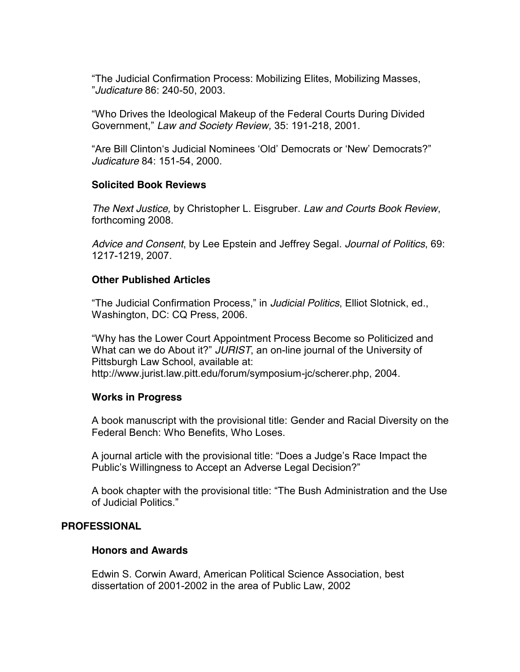"The Judicial Confirmation Process: Mobilizing Elites, Mobilizing Masses, ´*Judicature* 86: 240-50, 2003.

"Who Drives the Ideological Makeup of the Federal Courts During Divided Government," Law and Society Review, 35: 191-218, 2001.

"Are Bill Clinton's Judicial Nominees 'Old' Democrats or 'New' Democrats?" *Judicature* 84: 151-54, 2000.

### **Solicited Book Reviews**

*The Next Justice,* by Christopher L. Eisgruber. *Law and Courts Book Review*, forthcoming 2008.

*Advice and Consent*, by Lee Epstein and Jeffrey Segal. *Journal of Politics*, 69: 1217-1219, 2007.

### **Other Published Articles**

"The Judicial Confirmation Process," in Judicial Politics, Elliot Slotnick, ed., Washington, DC: CQ Press, 2006.

"Why has the Lower Court Appointment Process Become so Politicized and What can we do About it?" JURIST, an on-line journal of the University of Pittsburgh Law School, available at: http://www.jurist.law.pitt.edu/forum/symposium-jc/scherer.php, 2004.

## **Works in Progress**

A book manuscript with the provisional title: Gender and Racial Diversity on the Federal Bench: Who Benefits, Who Loses.

A journal article with the provisional title: "Does a Judge's Race Impact the Public's Willingness to Accept an Adverse Legal Decision?"

A book chapter with the provisional title: "The Bush Administration and the Use of Judicial Politics"

### **PROFESSIONAL**

#### **Honors and Awards**

Edwin S. Corwin Award, American Political Science Association, best dissertation of 2001-2002 in the area of Public Law, 2002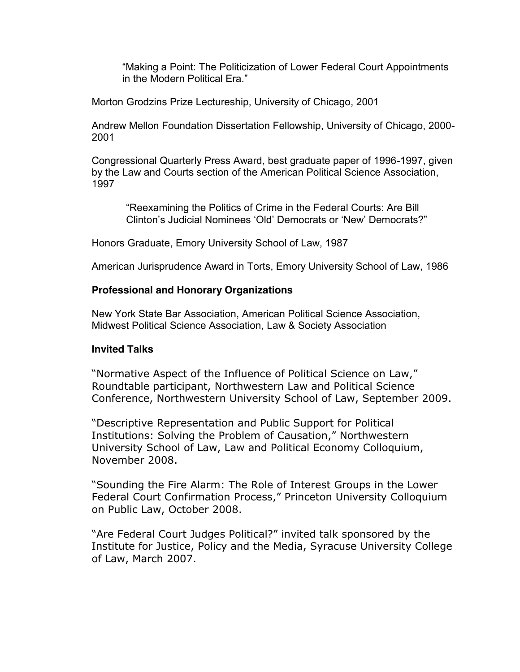"Making a Point: The Politicization of Lower Federal Court Appointments in the Modern Political Era."

Morton Grodzins Prize Lectureship, University of Chicago, 2001

Andrew Mellon Foundation Dissertation Fellowship, University of Chicago, 2000- 2001

Congressional Quarterly Press Award, best graduate paper of 1996-1997, given by the Law and Courts section of the American Political Science Association, 1997

"Reexamining the Politics of Crime in the Federal Courts: Are Bill Clinton's Judicial Nominees 'Old' Democrats or 'New' Democrats?"

Honors Graduate, Emory University School of Law, 1987

American Jurisprudence Award in Torts, Emory University School of Law, 1986

### **Professional and Honorary Organizations**

New York State Bar Association, American Political Science Association, Midwest Political Science Association, Law & Society Association

#### **Invited Talks**

"Normative Aspect of the Influence of Political Science on Law," Roundtable participant, Northwestern Law and Political Science Conference, Northwestern University School of Law, September 2009.

"Descriptive Representation and Public Support for Political Institutions: Solving the Problem of Causation," Northwestern University School of Law, Law and Political Economy Colloquium, November 2008.

"Sounding the Fire Alarm: The Role of Interest Groups in the Lower Federal Court Confirmation Process," Princeton University Colloquium on Public Law, October 2008.

"Are Federal Court Judges Political?" invited talk sponsored by the Institute for Justice, Policy and the Media, Syracuse University College of Law, March 2007.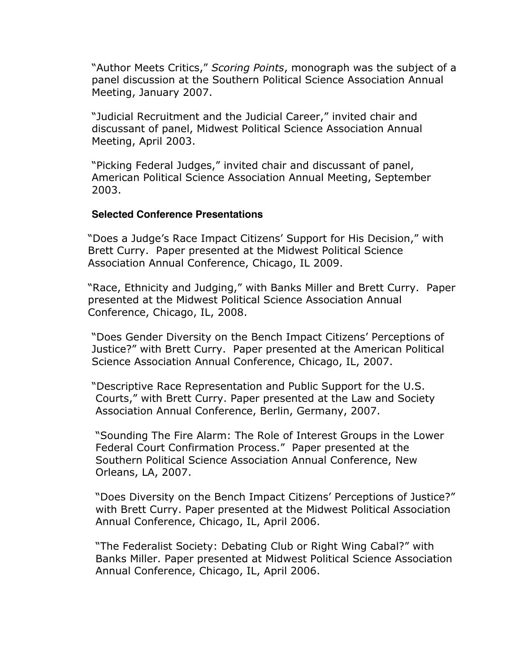"Author Meets Critics," Scoring Points, monograph was the subject of a panel discussion at the Southern Political Science Association Annual Meeting, January 2007.

"Judicial Recruitment and the Judicial Career," invited chair and discussant of panel, Midwest Political Science Association Annual Meeting, April 2003.

"Picking Federal Judges," invited chair and discussant of panel, American Political Science Association Annual Meeting, September 2003.'

#### **Selected Conference Presentations**

"Does a Judge's Race Impact Citizens' Support for His Decision," with Brett Curry. Paper presented at the Midwest Political Science Association Annual Conference, Chicago, IL 2009.

"Race, Ethnicity and Judging," with Banks Miller and Brett Curry. Paper presented at the Midwest Political Science Association Annual Conference, Chicago, IL, 2008.

"Does Gender Diversity on the Bench Impact Citizens' Perceptions of Justice?" with Brett Curry. Paper presented at the American Political Science Association Annual Conference, Chicago, IL, 2007.

"Descriptive Race Representation and Public Support for the U.S. Courts," with Brett Curry. Paper presented at the Law and Society Association Annual Conference, Berlin, Germany, 2007.

"Sounding The Fire Alarm: The Role of Interest Groups in the Lower Federal Court Confirmation Process." Paper presented at the Southern Political Science Association Annual Conference, New Orleans, LA, 2007.

"Does Diversity on the Bench Impact Citizens' Perceptions of Justice?" with Brett Curry. Paper presented at the Midwest Political Association Annual Conference, Chicago, IL, April 2006.

"The Federalist Society: Debating Club or Right Wing Cabal?" with Banks Miller. Paper presented at Midwest Political Science Association Annual Conference, Chicago, IL, April 2006.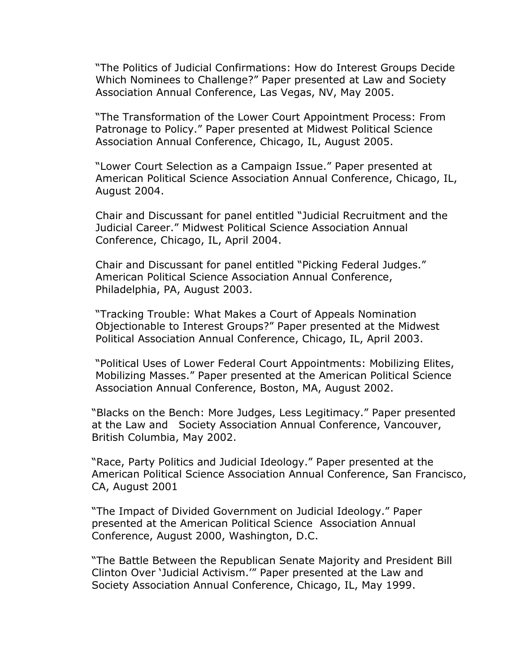"The Politics of Judicial Confirmations: How do Interest Groups Decide Which Nominees to Challenge?" Paper presented at Law and Society Association Annual Conference, Las Vegas, NV, May 2005.

"The Transformation of the Lower Court Appointment Process: From Patronage to Policy." Paper presented at Midwest Political Science Association Annual Conference, Chicago, IL, August 2005.

"Lower Court Selection as a Campaign Issue." Paper presented at American Political Science Association Annual Conference, Chicago, IL, August 2004.

Chair and Discussant for panel entitled "Judicial Recruitment and the Judicial Career." Midwest Political Science Association Annual Conference, Chicago, IL, April 2004.

Chair and Discussant for panel entitled "Picking Federal Judges." American Political Science Association Annual Conference, Philadelphia, PA, August 2003.

"Tracking Trouble: What Makes a Court of Appeals Nomination Objectionable to Interest Groups?" Paper presented at the Midwest Political Association Annual Conference, Chicago, IL, April 2003.

"Political Uses of Lower Federal Court Appointments: Mobilizing Elites, Mobilizing Masses." Paper presented at the American Political Science Association Annual Conference, Boston, MA, August 2002.

"Blacks on the Bench: More Judges, Less Legitimacy." Paper presented at the Law and Society Association Annual Conference, Vancouver, British Columbia, May 2002.

"Race, Party Politics and Judicial Ideology." Paper presented at the American Political Science Association Annual Conference, San Francisco, CA, August 2001

"The Impact of Divided Government on Judicial Ideology." Paper presented at the American Political Science Association Annual Conference, August 2000, Washington, D.C.

"The Battle Between the Republican Senate Majority and President Bill Clinton Over 'Judicial Activism.'" Paper presented at the Law and Society Association Annual Conference, Chicago, IL, May 1999.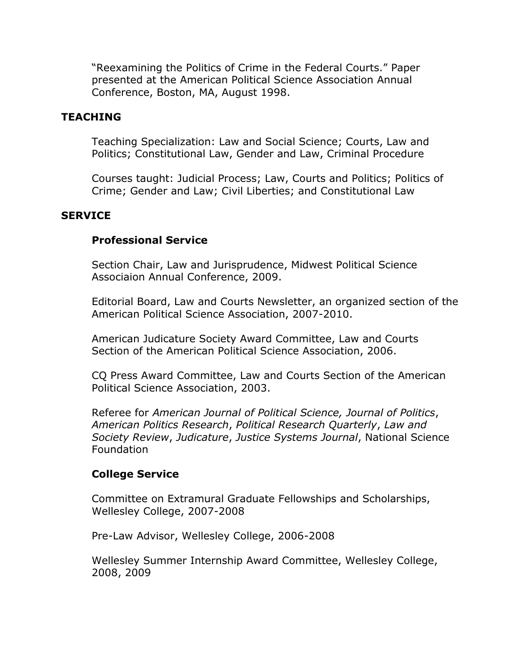"Reexamining the Politics of Crime in the Federal Courts." Paper presented at the American Political Science Association Annual Conference, Boston, MA, August 1998.

## **TEACHING**

Teaching Specialization: Law and Social Science; Courts, Law and Politics; Constitutional Law, Gender and Law, Criminal Procedure

Courses taught: Judicial Process; Law, Courts and Politics; Politics of Crime; Gender and Law; Civil Liberties; and Constitutional Law

### **SERVICE**

## **Professional!Service**

Section Chair, Law and Jurisprudence, Midwest Political Science Associaion Annual Conference, 2009.

Editorial Board, Law and Courts Newsletter, an organized section of the American Political Science Association, 2007-2010.

American Judicature Society Award Committee, Law and Courts Section of the American Political Science Association, 2006.

CQ Press Award Committee, Law and Courts Section of the American Political Science Association, 2003.

Referee for *American Journal of Political Science, Journal of Politics*, *American(Politics(Research*,'*Political(Research(Quarterly*,'*Law(and( Society(Review*,'*Judicature*,'*Justice(Systems(Journal*,'National'Science' Foundation

## **College Service**

Committee on Extramural Graduate Fellowships and Scholarships, Wellesley College, 2007-2008

Pre-Law Advisor, Wellesley College, 2006-2008

Wellesley Summer Internship Award Committee, Wellesley College, 2008,'2009